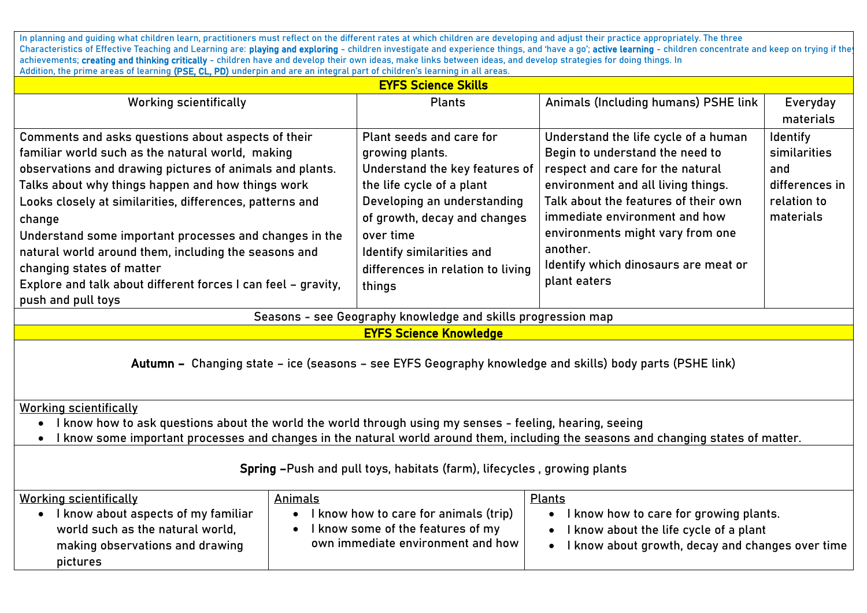In planning and guiding what children learn, practitioners must reflect on the different rates at which children are developing and adjust their practice appropriately. The three Characteristics of Effective Teaching and Learning are: playing and exploring - children investigate and experience things, and 'have a go'; active learning - children concentrate and keep on trying if the achievements; creating and thinking critically - children have and develop their own ideas, make links between ideas, and develop strategies for doing things. In Addition, the prime areas of learning (PSE, CL, PD) underpin and are an integral part of children's learning in all areas.

| Addition, the prime areas or tearming <b>(risk), villa</b> by anaerpin and are an integratipart or emtarens tearming in att areas.<br><b>EYFS Science Skills</b>                                                                                                                                                                                                                                                                                                                                              |                                                                                                                                                                                                                                                                    |                                                                                                                                                                                                                                                                                                                                    |                                                                                      |  |
|---------------------------------------------------------------------------------------------------------------------------------------------------------------------------------------------------------------------------------------------------------------------------------------------------------------------------------------------------------------------------------------------------------------------------------------------------------------------------------------------------------------|--------------------------------------------------------------------------------------------------------------------------------------------------------------------------------------------------------------------------------------------------------------------|------------------------------------------------------------------------------------------------------------------------------------------------------------------------------------------------------------------------------------------------------------------------------------------------------------------------------------|--------------------------------------------------------------------------------------|--|
| <b>Working scientifically</b>                                                                                                                                                                                                                                                                                                                                                                                                                                                                                 | <b>Plants</b>                                                                                                                                                                                                                                                      | Animals (Including humans) PSHE link                                                                                                                                                                                                                                                                                               | Everyday                                                                             |  |
|                                                                                                                                                                                                                                                                                                                                                                                                                                                                                                               |                                                                                                                                                                                                                                                                    |                                                                                                                                                                                                                                                                                                                                    | materials                                                                            |  |
| Comments and asks questions about aspects of their<br>familiar world such as the natural world, making<br>observations and drawing pictures of animals and plants.<br>Talks about why things happen and how things work<br>Looks closely at similarities, differences, patterns and<br>change<br>Understand some important processes and changes in the<br>natural world around them, including the seasons and<br>changing states of matter<br>Explore and talk about different forces I can feel - gravity, | Plant seeds and care for<br>growing plants.<br>Understand the key features of<br>the life cycle of a plant<br>Developing an understanding<br>of growth, decay and changes<br>over time<br>Identify similarities and<br>differences in relation to living<br>things | Understand the life cycle of a human<br>Begin to understand the need to<br>respect and care for the natural<br>environment and all living things.<br>Talk about the features of their own<br>immediate environment and how<br>environments might vary from one<br>another.<br>Identify which dinosaurs are meat or<br>plant eaters | <b>Identify</b><br>similarities<br>and<br>differences in<br>relation to<br>materials |  |
| push and pull toys                                                                                                                                                                                                                                                                                                                                                                                                                                                                                            |                                                                                                                                                                                                                                                                    |                                                                                                                                                                                                                                                                                                                                    |                                                                                      |  |
| Seasons - see Geography knowledge and skills progression map                                                                                                                                                                                                                                                                                                                                                                                                                                                  |                                                                                                                                                                                                                                                                    |                                                                                                                                                                                                                                                                                                                                    |                                                                                      |  |
| <b>EYFS Science Knowledge</b>                                                                                                                                                                                                                                                                                                                                                                                                                                                                                 |                                                                                                                                                                                                                                                                    |                                                                                                                                                                                                                                                                                                                                    |                                                                                      |  |
| Autumn - Changing state - ice (seasons - see EYFS Geography knowledge and skills) body parts (PSHE link)                                                                                                                                                                                                                                                                                                                                                                                                      |                                                                                                                                                                                                                                                                    |                                                                                                                                                                                                                                                                                                                                    |                                                                                      |  |

Working scientifically

- I know how to ask questions about the world the world through using my senses feeling, hearing, seeing
- I know some important processes and changes in the natural world around them, including the seasons and changing states of matter.

## Spring –Push and pull toys, habitats (farm), lifecycles , growing plants

| <b>Working scientifically</b>                                                                                          | Animals                                                                                                         | <b>Plants</b>                                                                                                                        |
|------------------------------------------------------------------------------------------------------------------------|-----------------------------------------------------------------------------------------------------------------|--------------------------------------------------------------------------------------------------------------------------------------|
| I know about aspects of my familiar<br>world such as the natural world,<br>making observations and drawing<br>pictures | I know how to care for animals (trip)<br>I know some of the features of my<br>own immediate environment and how | I know how to care for growing plants.<br>I know about the life cycle of a plant<br>I know about growth, decay and changes over time |